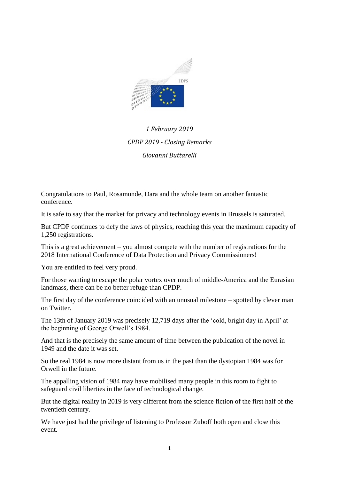

## *1 February 2019 CPDP 2019 - Closing Remarks Giovanni Buttarelli*

Congratulations to Paul, Rosamunde, Dara and the whole team on another fantastic conference.

It is safe to say that the market for privacy and technology events in Brussels is saturated.

But CPDP continues to defy the laws of physics, reaching this year the maximum capacity of 1,250 registrations.

This is a great achievement – you almost compete with the number of registrations for the 2018 International Conference of Data Protection and Privacy Commissioners!

You are entitled to feel very proud.

For those wanting to escape the polar vortex over much of middle-America and the Eurasian landmass, there can be no better refuge than CPDP.

The first day of the conference coincided with an unusual milestone – spotted by clever man on Twitter.

The 13th of January 2019 was precisely 12,719 days after the 'cold, bright day in April' at the beginning of George Orwell's 1984.

And that is the precisely the same amount of time between the publication of the novel in 1949 and the date it was set.

So the real 1984 is now more distant from us in the past than the dystopian 1984 was for Orwell in the future.

The appalling vision of 1984 may have mobilised many people in this room to fight to safeguard civil liberties in the face of technological change.

But the digital reality in 2019 is very different from the science fiction of the first half of the twentieth century.

We have just had the privilege of listening to Professor Zuboff both open and close this event.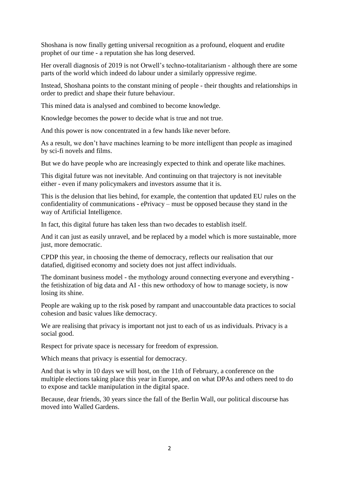Shoshana is now finally getting universal recognition as a profound, eloquent and erudite prophet of our time - a reputation she has long deserved.

Her overall diagnosis of 2019 is not Orwell's techno-totalitarianism - although there are some parts of the world which indeed do labour under a similarly oppressive regime.

Instead, Shoshana points to the constant mining of people - their thoughts and relationships in order to predict and shape their future behaviour.

This mined data is analysed and combined to become knowledge.

Knowledge becomes the power to decide what is true and not true.

And this power is now concentrated in a few hands like never before.

As a result, we don't have machines learning to be more intelligent than people as imagined by sci-fi novels and films.

But we do have people who are increasingly expected to think and operate like machines.

This digital future was not inevitable. And continuing on that trajectory is not inevitable either - even if many policymakers and investors assume that it is.

This is the delusion that lies behind, for example, the contention that updated EU rules on the confidentiality of communications - ePrivacy – must be opposed because they stand in the way of Artificial Intelligence.

In fact, this digital future has taken less than two decades to establish itself.

And it can just as easily unravel, and be replaced by a model which is more sustainable, more just, more democratic.

CPDP this year, in choosing the theme of democracy, reflects our realisation that our datafied, digitised economy and society does not just affect individuals.

The dominant business model - the mythology around connecting everyone and everything the fetishization of big data and AI - this new orthodoxy of how to manage society, is now losing its shine.

People are waking up to the risk posed by rampant and unaccountable data practices to social cohesion and basic values like democracy.

We are realising that privacy is important not just to each of us as individuals. Privacy is a social good.

Respect for private space is necessary for freedom of expression.

Which means that privacy is essential for democracy.

And that is why in 10 days we will host, on the 11th of February, a conference on the multiple elections taking place this year in Europe, and on what DPAs and others need to do to expose and tackle manipulation in the digital space.

Because, dear friends, 30 years since the fall of the Berlin Wall, our political discourse has moved into Walled Gardens.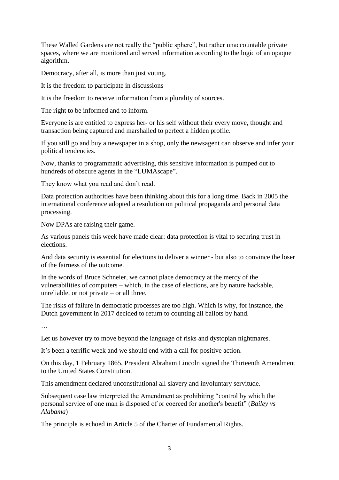These Walled Gardens are not really the "public sphere", but rather unaccountable private spaces, where we are monitored and served information according to the logic of an opaque algorithm.

Democracy, after all, is more than just voting.

It is the freedom to participate in discussions

It is the freedom to receive information from a plurality of sources.

The right to be informed and to inform.

Everyone is are entitled to express her- or his self without their every move, thought and transaction being captured and marshalled to perfect a hidden profile.

If you still go and buy a newspaper in a shop, only the newsagent can observe and infer your political tendencies.

Now, thanks to programmatic advertising, this sensitive information is pumped out to hundreds of obscure agents in the "LUMAscape".

They know what you read and don't read.

Data protection authorities have been thinking about this for a long time. Back in 2005 the international conference adopted a resolution on political propaganda and personal data processing.

Now DPAs are raising their game.

As various panels this week have made clear: data protection is vital to securing trust in elections.

And data security is essential for elections to deliver a winner - but also to convince the loser of the fairness of the outcome.

In the words of Bruce Schneier, we cannot place democracy at the mercy of the vulnerabilities of computers – which, in the case of elections, are by nature hackable, unreliable, or not private – or all three.

The risks of failure in democratic processes are too high. Which is why, for instance, the Dutch government in 2017 decided to return to counting all ballots by hand.

…

Let us however try to move beyond the language of risks and dystopian nightmares.

It's been a terrific week and we should end with a call for positive action.

On this day, 1 February 1865, President Abraham Lincoln signed the Thirteenth Amendment to the United States Constitution.

This amendment declared unconstitutional all slavery and involuntary servitude.

Subsequent case law interpreted the Amendment as prohibiting "control by which the personal service of one man is disposed of or coerced for another's benefit" (*Bailey vs Alabama*)

The principle is echoed in Article 5 of the Charter of Fundamental Rights.